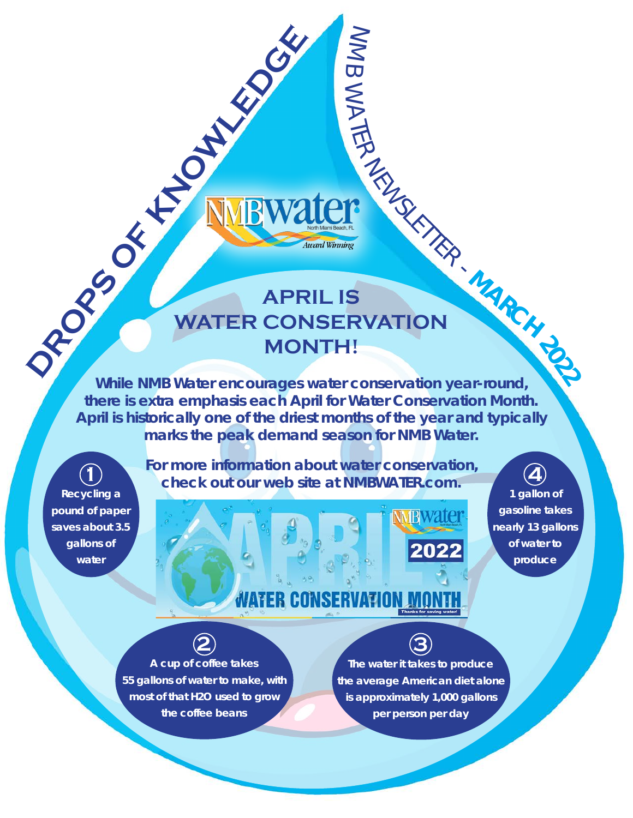# **APRIL IS WATER CONSERVATION MONTH! PROPS OF KITCHERS**

 $\geq$ M  $\overline{\mathbf{G}}$ 

 $\leq$  $\vec{\triangleright}$ 

**TER** 

NEWSLETTER

- **<sup>M</sup>ARC<sup>H</sup> <sup>2022</sup> While NMB Water encourages water conservation year-round, there is extra emphasis each April for Water Conservation Month. April is historically one of the driest months of the year and typically marks the peak demand season for NMB Water.**

**1 Recycling a pound of paper saves about 3.5 gallons of water**

**For more information about water conservation, check out our web site at NMBWATER.com.**

*NA*TER CONS

#### 2022

**RWAICI** 

**4 1 gallon of gasoline takes nearly 13 gallons of water to** 

**produce**

**A cup of coffee takes 55 gallons of water to make, with most of that H2O used to grow the coffee beans**

**2**

**The water it takes to produce the average American diet alone is approximately 1,000 gallons per person per day** 

**3**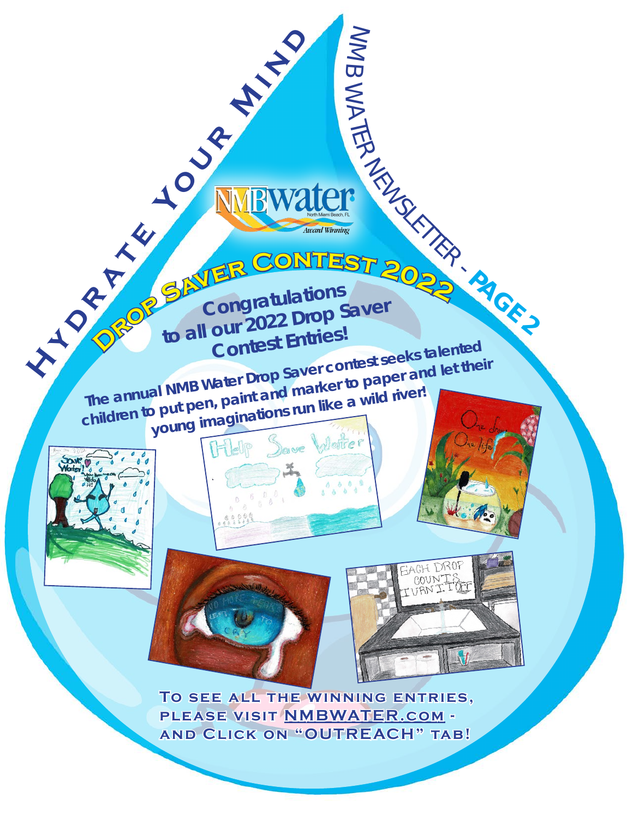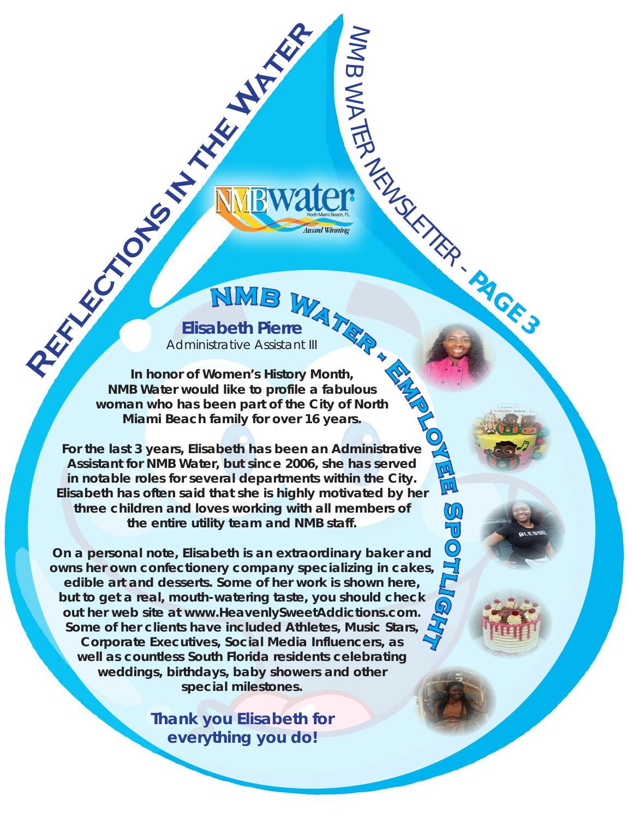## **Reflections in the Water Elisabeth Pierre** Administrative Assistant III **IWATTEN**

**NMB**

 $\geq$ M  $\overline{\mathbf{G}}$ 

 $\leq$  $\vec{\triangleright}$ 

**TER** 

 **-**

NEWSLETTER

- **<sup>P</sup>AG<sup>E</sup> <sup>3</sup>**

**eg** 

 $\mathbb{Z}$ **p otl**

**In honor of Women's History Month, NMB Water would like to profile a fabulous woman who has been part of the City of North Miami Beach family for over 16 years.** Pierre<br>
Assistant III<br>
History Month,<br>
profile a fabulous<br>
t of the City of North<br>
prover 16 years.<br>
as been an Administrative

**For the last 3 years, Elisabeth has been an Administrative Assistant for NMB Water, but since 2006, she has served in notable roles for several departments within the City. Elisabeth has often said that she is highly motivated by her three children and loves working with all members of the entire utility team and NMB staff. Employe**

**On a personal note, Elisabeth is an extraordinary baker and owns her own confectionery company specializing in cakes, edible art and desserts. Some of her work is shown here, but to get a real, mouth-watering taste, you should check out her web site at www.HeavenlySweetAddictions.com. Some of her clients have included Athletes, Music Stars, Corporate Executives, Social Media Influencers, as well as countless South Florida residents celebrating weddings, birthdays, baby showers and other special milestones. gi ht**

> **Thank you Elisabeth for everything you do!**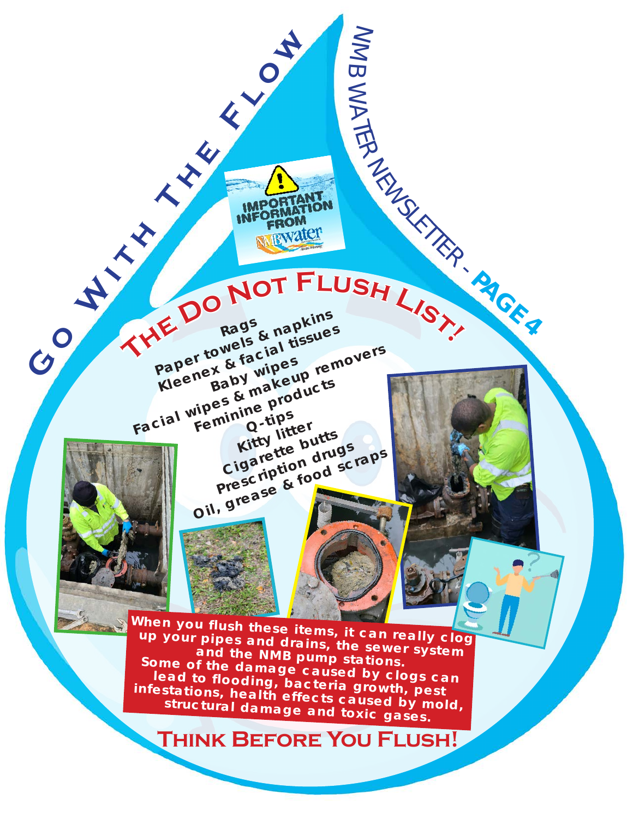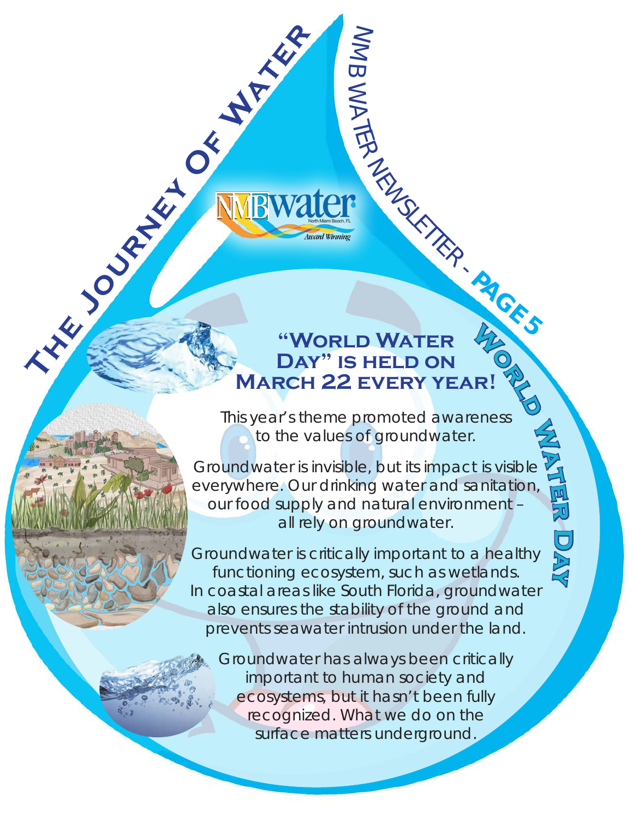#### - **<sup>P</sup>AG<sup>E</sup> <sup>5</sup> THE JOURNAL PROPERTY OF BUILD ON WATER "World Water**  DAY" IS HELD ON **March 22 every year! A**<br>R! 2020

 $\geq$ M  $\overline{\mathbf{G}}$ 

 $\leq$  $\vec{\triangleright}$ 

**TER** 

NEWSLETTER

This year's theme promoted awareness to the values of groundwater.

Groundwater is invisible, but its impact is visible everywhere. Our drinking water and sanitation, our food supply and natural environment – all rely on groundwater.  **Wat**

**e r**

**D**

**ay**

Groundwater is critically important to a healthy functioning ecosystem, such as wetlands. In coastal areas like South Florida, groundwater also ensures the stability of the ground and prevents seawater intrusion under the land.

Groundwater has always been critically important to human society and ecosystems, but it hasn't been fully recognized. What we do on the surface matters underground.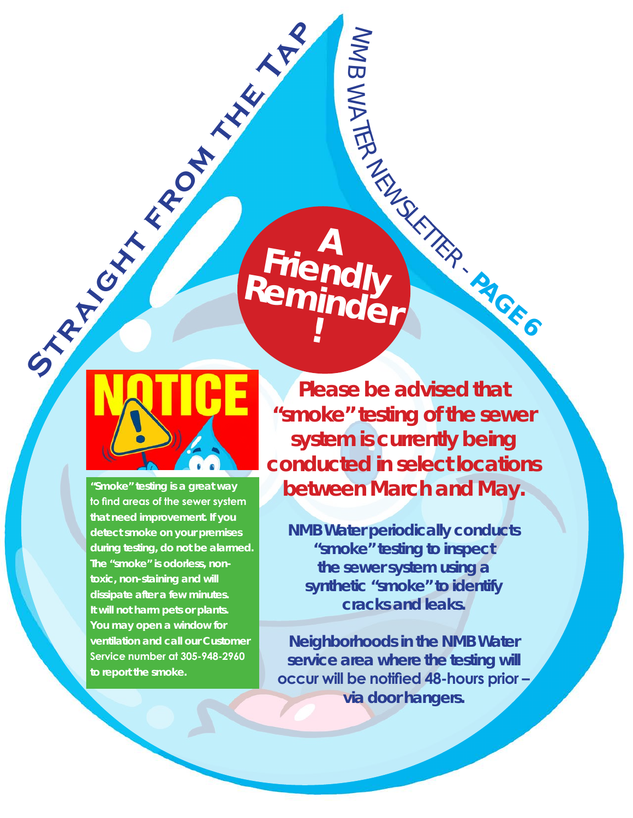

**"Smoke" testing is a great way to find areas of the sewer system that need improvement. If you detect smoke on your premises during testing, do not be alarmed. The "smoke" is odorless, nontoxic, non-staining and will dissipate after a few minutes. It will not harm pets or plants. You may open a window for ventilation and call our Customer Service number at 305-948-2960 to report the smoke.**

**Please be advised that "smoke" testing of the sewer system is currently being conducted in select locations between March and May.**

NEWSLETTER

- **<sup>P</sup>AG<sup>E</sup> <sup>6</sup>**

 $\geq$ M  $\overline{\mathbf{C}}$ 

 $\leq$  $\vec{D}$ 

**TER** 

**Friendly** 

**Reminder !**

**NMB Water periodically conducts "smoke" testing to inspect the sewer system using a synthetic "smoke" to identify cracks and leaks.** 

**Neighborhoods in the NMB Water service area where the testing will occur will be notified 48-hours prior – via door hangers.**